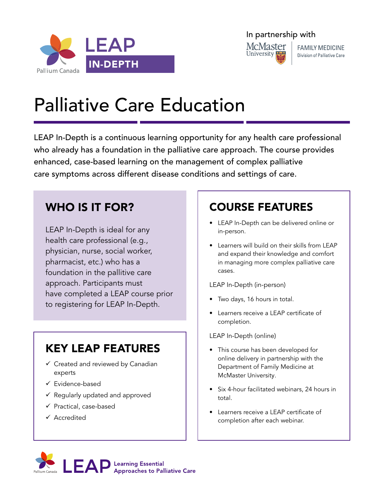



**FAMILY MEDICINE** Division of Palliative Care

# Palliative Care Education

LEAP In-Depth is a continuous learning opportunity for any health care professional who already has a foundation in the palliative care approach. The course provides enhanced, case-based learning on the management of complex palliative care symptoms across different disease conditions and settings of care.

# WHO IS IT FOR?

LEAP In-Depth is ideal for any health care professional (e.g., physician, nurse, social worker, pharmacist, etc.) who has a foundation in the pallitive care approach. Participants must have completed a LEAP course prior to registering for LEAP In-Depth.

# KEY LEAP FEATURES

- $\checkmark$  Created and reviewed by Canadian experts
- $\checkmark$  Evidence-based
- $\checkmark$  Regularly updated and approved
- $\checkmark$  Practical, case-based
- $\checkmark$  Accredited

# COURSE FEATURES

- LEAP In-Depth can be delivered online or in-person.
- Learners will build on their skills from LEAP and expand their knowledge and comfort in managing more complex palliative care cases.

LEAP In-Depth (in-person)

- Two days, 16 hours in total.
- Learners receive a LEAP certificate of completion.

LEAP In-Depth (online)

- This course has been developed for online delivery in partnership with the Department of Family Medicine at McMaster University.
- Six 4-hour facilitated webinars, 24 hours in total.
- Learners receive a LEAP certificate of completion after each webinar.